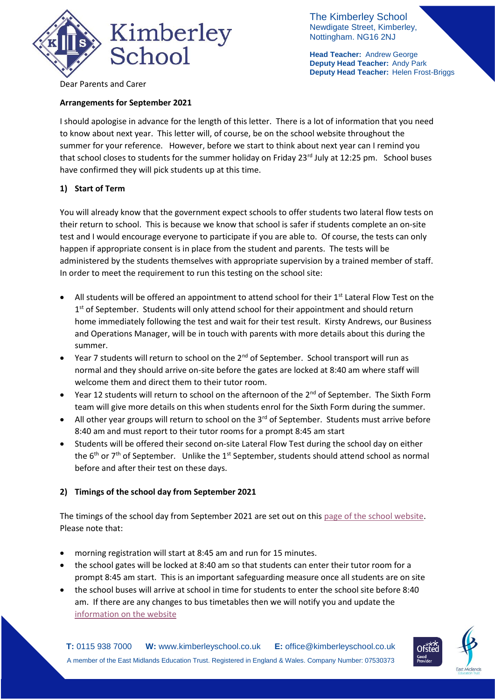

The Kimberley School Newdigate Street, Kimberley, Nottingham. NG16 2NJ

**Head Teacher:** Andrew George **Deputy Head Teacher:** Andy Park **Deputy Head Teacher:** Helen Frost-Briggs

Dear Parents and Carer

## **Arrangements for September 2021**

I should apologise in advance for the length of this letter. There is a lot of information that you need to know about next year. This letter will, of course, be on the school website throughout the summer for your reference. However, before we start to think about next year can I remind you that school closes to students for the summer holiday on Friday 23<sup>rd</sup> July at 12:25 pm. School buses have confirmed they will pick students up at this time.

### **1) Start of Term**

You will already know that the government expect schools to offer students two lateral flow tests on their return to school. This is because we know that school is safer if students complete an on-site test and I would encourage everyone to participate if you are able to. Of course, the tests can only happen if appropriate consent is in place from the student and parents. The tests will be administered by the students themselves with appropriate supervision by a trained member of staff. In order to meet the requirement to run this testing on the school site:

- All students will be offered an appointment to attend school for their  $1<sup>st</sup>$  Lateral Flow Test on the 1<sup>st</sup> of September. Students will only attend school for their appointment and should return home immediately following the test and wait for their test result. Kirsty Andrews, our Business and Operations Manager, will be in touch with parents with more details about this during the summer.
- Year 7 students will return to school on the 2<sup>nd</sup> of September. School transport will run as normal and they should arrive on-site before the gates are locked at 8:40 am where staff will welcome them and direct them to their tutor room.
- Year 12 students will return to school on the afternoon of the  $2<sup>nd</sup>$  of September. The Sixth Form team will give more details on this when students enrol for the Sixth Form during the summer.
- All other year groups will return to school on the 3<sup>rd</sup> of September. Students must arrive before 8:40 am and must report to their tutor rooms for a prompt 8:45 am start
- Students will be offered their second on-site Lateral Flow Test during the school day on either the  $6<sup>th</sup>$  or  $7<sup>th</sup>$  of September. Unlike the 1<sup>st</sup> September, students should attend school as normal before and after their test on these days.

# **2) Timings of the school day from September 2021**

The timings of the school day from September 2021 are set out on this [page of the school website.](https://www.kimberleyschool.co.uk/school-day) Please note that:

- morning registration will start at 8:45 am and run for 15 minutes.
- the school gates will be locked at 8:40 am so that students can enter their tutor room for a prompt 8:45 am start. This is an important safeguarding measure once all students are on site
- the school buses will arrive at school in time for students to enter the school site before 8:40 am. If there are any changes to bus timetables then we will notify you and update the [information on the website](https://www.kimberleyschool.co.uk/transport)

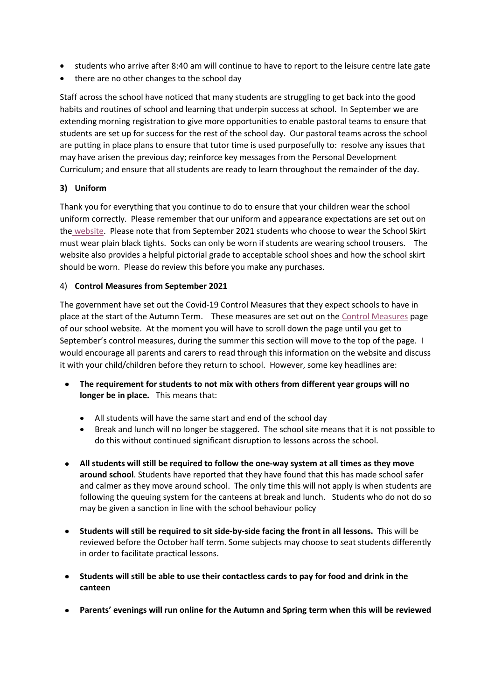- students who arrive after 8:40 am will continue to have to report to the leisure centre late gate
- there are no other changes to the school day

Staff across the school have noticed that many students are struggling to get back into the good habits and routines of school and learning that underpin success at school. In September we are extending morning registration to give more opportunities to enable pastoral teams to ensure that students are set up for success for the rest of the school day. Our pastoral teams across the school are putting in place plans to ensure that tutor time is used purposefully to: resolve any issues that may have arisen the previous day; reinforce key messages from the Personal Development Curriculum; and ensure that all students are ready to learn throughout the remainder of the day.

### **3) Uniform**

Thank you for everything that you continue to do to ensure that your children wear the school uniform correctly. Please remember that our uniform and appearance expectations are set out on the [website.](https://www.kimberleyschool.co.uk/uniform) Please note that from September 2021 students who choose to wear the School Skirt must wear plain black tights. Socks can only be worn if students are wearing school trousers. The website also provides a helpful pictorial grade to acceptable school shoes and how the school skirt should be worn. Please do review this before you make any purchases.

### 4) **Control Measures from September 2021**

The government have set out the Covid-19 Control Measures that they expect schools to have in place at the start of the Autumn Term. These measures are set out on the [Control Measures](https://www.kimberleyschool.co.uk/septemberopening) page of our school website. At the moment you will have to scroll down the page until you get to September's control measures, during the summer this section will move to the top of the page. I would encourage all parents and carers to read through this information on the website and discuss it with your child/children before they return to school. However, some key headlines are:

- **The requirement for students to not mix with others from different year groups will no longer be in place.** This means that:
	- All students will have the same start and end of the school day
	- Break and lunch will no longer be staggered. The school site means that it is not possible to do this without continued significant disruption to lessons across the school.
- **All students will still be required to follow the one-way system at all times as they move around school**. Students have reported that they have found that this has made school safer and calmer as they move around school. The only time this will not apply is when students are following the queuing system for the canteens at break and lunch. Students who do not do so may be given a sanction in line with the school behaviour policy
- **Students will still be required to sit side-by-side facing the front in all lessons.** This will be reviewed before the October half term. Some subjects may choose to seat students differently in order to facilitate practical lessons.
- **Students will still be able to use their contactless cards to pay for food and drink in the canteen**
- **Parents' evenings will run online for the Autumn and Spring term when this will be reviewed**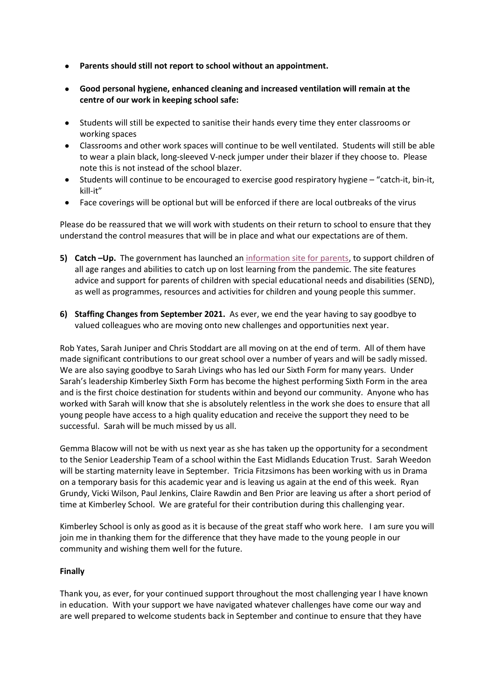- **Parents should still not report to school without an appointment.**
- **Good personal hygiene, enhanced cleaning and increased ventilation will remain at the centre of our work in keeping school safe:**
- Students will still be expected to sanitise their hands every time they enter classrooms or working spaces
- Classrooms and other work spaces will continue to be well ventilated. Students will still be able to wear a plain black, long-sleeved V-neck jumper under their blazer if they choose to. Please note this is not instead of the school blazer.
- Students will continue to be encouraged to exercise good respiratory hygiene "catch-it, bin-it, kill-it"
- Face coverings will be optional but will be enforced if there are local outbreaks of the virus

Please do be reassured that we will work with students on their return to school to ensure that they understand the control measures that will be in place and what our expectations are of them.

- **5) Catch –Up.** The government has launched an [information site for parents,](https://educationcatchup.campaign.gov.uk/) to support children of all age ranges and abilities to catch up on lost learning from the pandemic. The site features advice and support for parents of children with special educational needs and disabilities (SEND), as well as programmes, resources and activities for children and young people this summer.
- **6) Staffing Changes from September 2021.** As ever, we end the year having to say goodbye to valued colleagues who are moving onto new challenges and opportunities next year.

Rob Yates, Sarah Juniper and Chris Stoddart are all moving on at the end of term. All of them have made significant contributions to our great school over a number of years and will be sadly missed. We are also saying goodbye to Sarah Livings who has led our Sixth Form for many years. Under Sarah's leadership Kimberley Sixth Form has become the highest performing Sixth Form in the area and is the first choice destination for students within and beyond our community. Anyone who has worked with Sarah will know that she is absolutely relentless in the work she does to ensure that all young people have access to a high quality education and receive the support they need to be successful. Sarah will be much missed by us all.

Gemma Blacow will not be with us next year as she has taken up the opportunity for a secondment to the Senior Leadership Team of a school within the East Midlands Education Trust. Sarah Weedon will be starting maternity leave in September. Tricia Fitzsimons has been working with us in Drama on a temporary basis for this academic year and is leaving us again at the end of this week. Ryan Grundy, Vicki Wilson, Paul Jenkins, Claire Rawdin and Ben Prior are leaving us after a short period of time at Kimberley School. We are grateful for their contribution during this challenging year.

Kimberley School is only as good as it is because of the great staff who work here. I am sure you will join me in thanking them for the difference that they have made to the young people in our community and wishing them well for the future.

# **Finally**

Thank you, as ever, for your continued support throughout the most challenging year I have known in education. With your support we have navigated whatever challenges have come our way and are well prepared to welcome students back in September and continue to ensure that they have